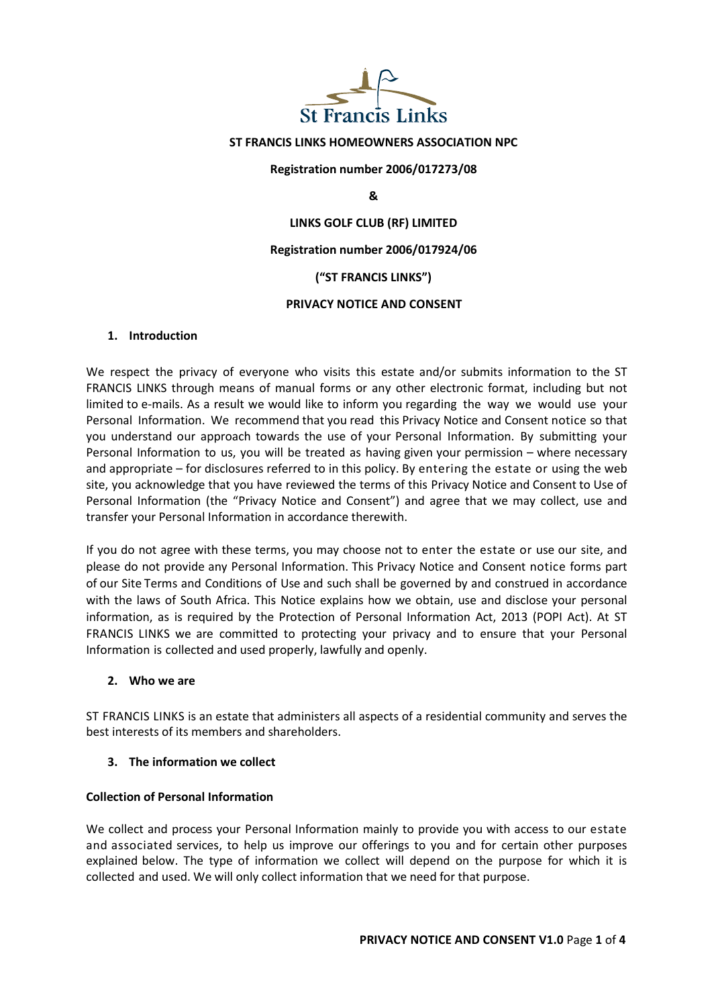

## ST FRANCIS LINKS HOMEOWNERS ASSOCIATION NPC

Registration number 2006/017273/08

&

## LINKS GOLF CLUB (RF) LIMITED

### Registration number 2006/017924/06

## ("ST FRANCIS LINKS")

#### PRIVACY NOTICE AND CONSENT

## 1. Introduction

We respect the privacy of everyone who visits this estate and/or submits information to the ST FRANCIS LINKS through means of manual forms or any other electronic format, including but not limited to e-mails. As a result we would like to inform you regarding the way we would use your Personal Information. We recommend that you read this Privacy Notice and Consent notice so that you understand our approach towards the use of your Personal Information. By submitting your Personal Information to us, you will be treated as having given your permission – where necessary and appropriate – for disclosures referred to in this policy. By entering the estate or using the web site, you acknowledge that you have reviewed the terms of this Privacy Notice and Consent to Use of Personal Information (the "Privacy Notice and Consent") and agree that we may collect, use and transfer your Personal Information in accordance therewith.

If you do not agree with these terms, you may choose not to enter the estate or use our site, and please do not provide any Personal Information. This Privacy Notice and Consent notice forms part of our Site Terms and Conditions of Use and such shall be governed by and construed in accordance with the laws of South Africa. This Notice explains how we obtain, use and disclose your personal information, as is required by the Protection of Personal Information Act, 2013 (POPI Act). At ST FRANCIS LINKS we are committed to protecting your privacy and to ensure that your Personal Information is collected and used properly, lawfully and openly.

#### 2. Who we are

ST FRANCIS LINKS is an estate that administers all aspects of a residential community and serves the best interests of its members and shareholders.

#### 3. The information we collect

### Collection of Personal Information

We collect and process your Personal Information mainly to provide you with access to our estate and associated services, to help us improve our offerings to you and for certain other purposes explained below. The type of information we collect will depend on the purpose for which it is collected and used. We will only collect information that we need for that purpose.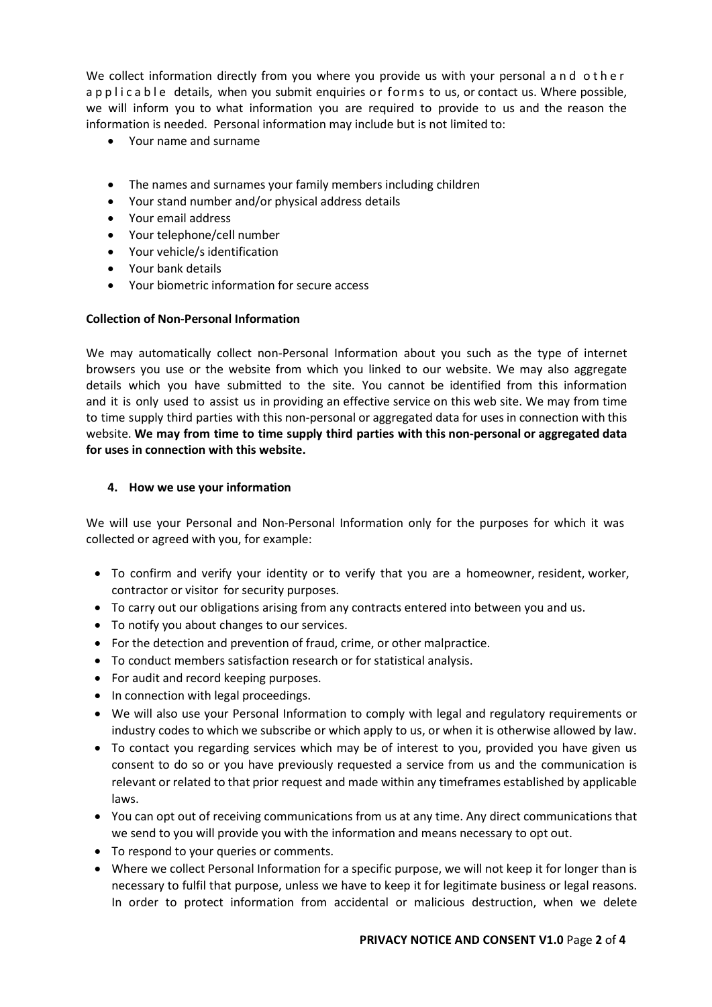We collect information directly from you where you provide us with your personal and other a p p l i c a b l e details, when you submit enquiries or forms to us, or contact us. Where possible, we will inform you to what information you are required to provide to us and the reason the information is needed. Personal information may include but is not limited to:

- Your name and surname
- The names and surnames your family members including children
- Your stand number and/or physical address details
- Your email address
- Your telephone/cell number
- Your vehicle/s identification
- Your bank details
- Your biometric information for secure access

# Collection of Non-Personal Information

We may automatically collect non-Personal Information about you such as the type of internet browsers you use or the website from which you linked to our website. We may also aggregate details which you have submitted to the site. You cannot be identified from this information and it is only used to assist us in providing an effective service on this web site. We may from time to time supply third parties with this non-personal or aggregated data for uses in connection with this website. We may from time to time supply third parties with this non-personal or aggregated data for uses in connection with this website.

# 4. How we use your information

We will use your Personal and Non-Personal Information only for the purposes for which it was collected or agreed with you, for example:

- To confirm and verify your identity or to verify that you are a homeowner, resident, worker, contractor or visitor for security purposes.
- To carry out our obligations arising from any contracts entered into between you and us.
- To notify you about changes to our services.
- For the detection and prevention of fraud, crime, or other malpractice.
- To conduct members satisfaction research or for statistical analysis.
- For audit and record keeping purposes.
- In connection with legal proceedings.
- We will also use your Personal Information to comply with legal and regulatory requirements or industry codes to which we subscribe or which apply to us, or when it is otherwise allowed by law.
- To contact you regarding services which may be of interest to you, provided you have given us consent to do so or you have previously requested a service from us and the communication is relevant or related to that prior request and made within any timeframes established by applicable laws.
- You can opt out of receiving communications from us at any time. Any direct communications that we send to you will provide you with the information and means necessary to opt out.
- To respond to your queries or comments.
- Where we collect Personal Information for a specific purpose, we will not keep it for longer than is necessary to fulfil that purpose, unless we have to keep it for legitimate business or legal reasons. In order to protect information from accidental or malicious destruction, when we delete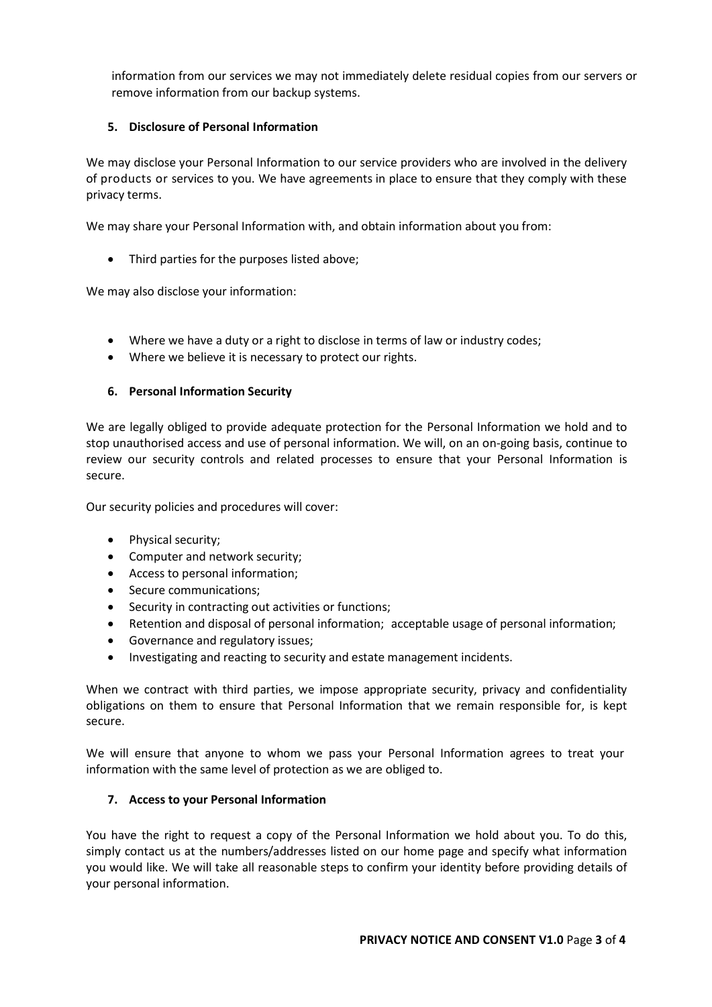information from our services we may not immediately delete residual copies from our servers or remove information from our backup systems.

# 5. Disclosure of Personal Information

We may disclose your Personal Information to our service providers who are involved in the delivery of products or services to you. We have agreements in place to ensure that they comply with these privacy terms.

We may share your Personal Information with, and obtain information about you from:

• Third parties for the purposes listed above;

We may also disclose your information:

- Where we have a duty or a right to disclose in terms of law or industry codes;
- Where we believe it is necessary to protect our rights.

# 6. Personal Information Security

We are legally obliged to provide adequate protection for the Personal Information we hold and to stop unauthorised access and use of personal information. We will, on an on-going basis, continue to review our security controls and related processes to ensure that your Personal Information is secure.

Our security policies and procedures will cover:

- Physical security;
- Computer and network security;
- Access to personal information;
- Secure communications;
- Security in contracting out activities or functions;
- Retention and disposal of personal information; acceptable usage of personal information;
- Governance and regulatory issues;
- Investigating and reacting to security and estate management incidents.

When we contract with third parties, we impose appropriate security, privacy and confidentiality obligations on them to ensure that Personal Information that we remain responsible for, is kept secure.

We will ensure that anyone to whom we pass your Personal Information agrees to treat your information with the same level of protection as we are obliged to.

## 7. Access to your Personal Information

You have the right to request a copy of the Personal Information we hold about you. To do this, simply contact us at the numbers/addresses listed on our home page and specify what information you would like. We will take all reasonable steps to confirm your identity before providing details of your personal information.